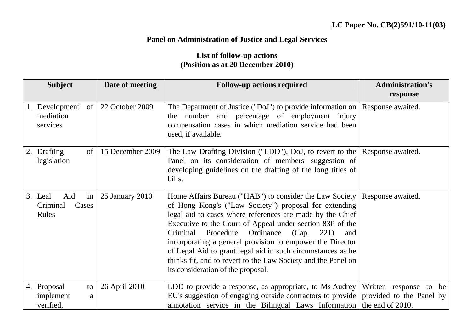## **Panel on Administration of Justice and Legal Services**

## **List of follow-up actions (Position as at 20 December 2010)**

| <b>Subject</b>                                     | Date of meeting  | <b>Follow-up actions required</b>                                                                                                                                                                                                                                                                                                                                                                                                                                                                                                                         | <b>Administration's</b> |
|----------------------------------------------------|------------------|-----------------------------------------------------------------------------------------------------------------------------------------------------------------------------------------------------------------------------------------------------------------------------------------------------------------------------------------------------------------------------------------------------------------------------------------------------------------------------------------------------------------------------------------------------------|-------------------------|
|                                                    |                  |                                                                                                                                                                                                                                                                                                                                                                                                                                                                                                                                                           | response                |
| Development of<br>mediation<br>services            | 22 October 2009  | The Department of Justice ("DoJ") to provide information on Response awaited.<br>the number and percentage of employment injury<br>compensation cases in which mediation service had been<br>used, if available.                                                                                                                                                                                                                                                                                                                                          |                         |
| Drafting<br>of<br>2.<br>legislation                | 15 December 2009 | The Law Drafting Division ("LDD"), DoJ, to revert to the Response awaited.<br>Panel on its consideration of members' suggestion of<br>developing guidelines on the drafting of the long titles of<br>bills.                                                                                                                                                                                                                                                                                                                                               |                         |
| Aid<br>in<br>3. Leal<br>Criminal<br>Cases<br>Rules | 25 January 2010  | Home Affairs Bureau ("HAB") to consider the Law Society   Response awaited.<br>of Hong Kong's ("Law Society") proposal for extending<br>legal aid to cases where references are made by the Chief<br>Executive to the Court of Appeal under section 83P of the<br>Criminal Procedure<br>Ordinance (Cap.<br>221)<br>and<br>incorporating a general provision to empower the Director<br>of Legal Aid to grant legal aid in such circumstances as he<br>thinks fit, and to revert to the Law Society and the Panel on<br>its consideration of the proposal. |                         |
| 4. Proposal<br>to<br>implement<br>a<br>verified,   | 26 April 2010    | LDD to provide a response, as appropriate, to Ms Audrey  <br>EU's suggestion of engaging outside contractors to provide provided to the Panel by<br>annotation service in the Bilingual Laws Information the end of 2010.                                                                                                                                                                                                                                                                                                                                 | Written response to be  |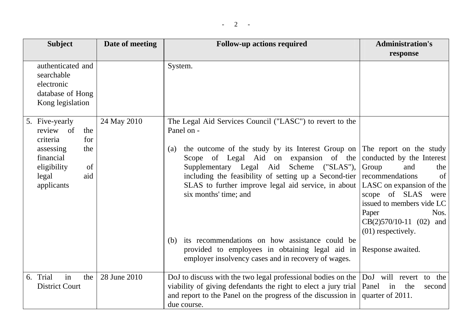| <b>Subject</b>                                                                        | Date of meeting | <b>Follow-up actions required</b>                                                                                                                                                                                                                                                                                                                   | <b>Administration's</b><br>response                                                                                                                                                                                                                             |
|---------------------------------------------------------------------------------------|-----------------|-----------------------------------------------------------------------------------------------------------------------------------------------------------------------------------------------------------------------------------------------------------------------------------------------------------------------------------------------------|-----------------------------------------------------------------------------------------------------------------------------------------------------------------------------------------------------------------------------------------------------------------|
| authenticated and<br>searchable<br>electronic<br>database of Hong<br>Kong legislation |                 | System.                                                                                                                                                                                                                                                                                                                                             |                                                                                                                                                                                                                                                                 |
| 5. Five-yearly<br>review of<br>the<br>criteria<br>for                                 | 24 May 2010     | The Legal Aid Services Council ("LASC") to revert to the<br>Panel on -                                                                                                                                                                                                                                                                              |                                                                                                                                                                                                                                                                 |
| assessing<br>the<br>financial<br>eligibility<br>of<br>aid<br>legal<br>applicants      |                 | the outcome of the study by its Interest Group on<br>(a)<br>Scope of Legal Aid on expansion of the<br>Supplementary Legal Aid<br>Scheme ("SLAS"),<br>including the feasibility of setting up a Second-tier<br>SLAS to further improve legal aid service, in about<br>six months' time; and<br>its recommendations on how assistance could be<br>(b) | The report on the study<br>conducted by the Interest<br>Group<br>and<br>the<br>recommendations<br>of<br>LASC on expansion of the<br>scope of SLAS<br>were<br>issued to members vide LC<br>Paper<br>Nos.<br>$CB(2)570/10-11$ (02)<br>and<br>$(01)$ respectively. |
|                                                                                       |                 | provided to employees in obtaining legal aid in<br>employer insolvency cases and in recovery of wages.                                                                                                                                                                                                                                              | Response awaited.                                                                                                                                                                                                                                               |
| 6. Trial<br>in<br>the<br><b>District Court</b>                                        | 28 June 2010    | DoJ to discuss with the two legal professional bodies on the<br>viability of giving defendants the right to elect a jury trial<br>and report to the Panel on the progress of the discussion in<br>due course.                                                                                                                                       | DoJ will revert to the<br>Panel<br>in<br>the<br>second<br>quarter of 2011.                                                                                                                                                                                      |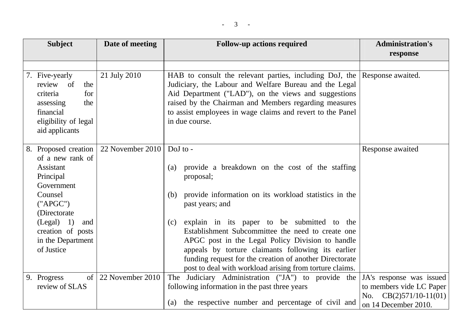| <b>Subject</b>                                                                                                                                                                                          | Date of meeting             | <b>Follow-up actions required</b>                                                                                                                                                                                                                                                                                                                                                                                                                                                                 | <b>Administration's</b><br>response                                                                      |
|---------------------------------------------------------------------------------------------------------------------------------------------------------------------------------------------------------|-----------------------------|---------------------------------------------------------------------------------------------------------------------------------------------------------------------------------------------------------------------------------------------------------------------------------------------------------------------------------------------------------------------------------------------------------------------------------------------------------------------------------------------------|----------------------------------------------------------------------------------------------------------|
| 7. Five-yearly<br>review of<br>the<br>for<br>criteria<br>assessing<br>the<br>financial<br>eligibility of legal<br>aid applicants                                                                        | 21 July 2010                | HAB to consult the relevant parties, including DoJ, the<br>Judiciary, the Labour and Welfare Bureau and the Legal<br>Aid Department ("LAD"), on the views and suggestions<br>raised by the Chairman and Members regarding measures<br>to assist employees in wage claims and revert to the Panel<br>in due course.                                                                                                                                                                                | Response awaited.                                                                                        |
| 8. Proposed creation<br>of a new rank of<br>Assistant<br>Principal<br>Government<br>Counsel<br>("APGC")<br>(Directorate)<br>$(Legal)$ 1)<br>and<br>creation of posts<br>in the Department<br>of Justice | 22 November 2010   DoJ to - | provide a breakdown on the cost of the staffing<br>(a)<br>proposal;<br>provide information on its workload statistics in the<br>(b)<br>past years; and<br>explain in its paper to be submitted to the<br>(c)<br>Establishment Subcommittee the need to create one<br>APGC post in the Legal Policy Division to handle<br>appeals by torture claimants following its earlier<br>funding request for the creation of another Directorate<br>post to deal with workload arising from torture claims. | Response awaited                                                                                         |
| 9. Progress<br>of<br>review of SLAS                                                                                                                                                                     | 22 November 2010            | The Judiciary Administration ("JA") to provide the<br>following information in the past three years<br>the respective number and percentage of civil and<br>(a)                                                                                                                                                                                                                                                                                                                                   | JA's response was issued<br>to members vide LC Paper<br>No. $CB(2)571/10-11(01)$<br>on 14 December 2010. |